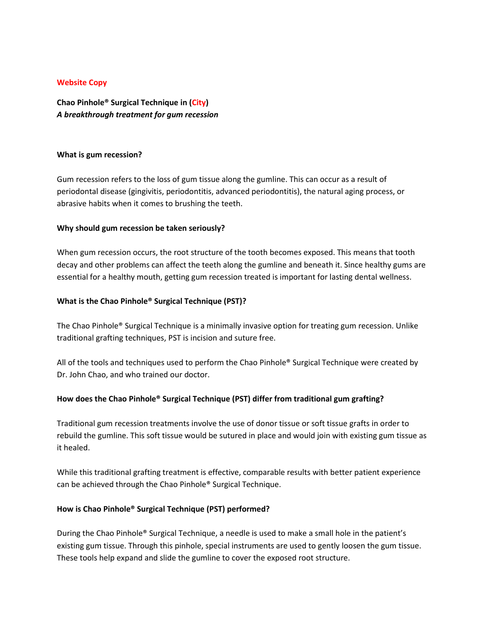#### **Website Copy**

**Chao Pinhole® Surgical Technique in (City)** *A breakthrough treatment for gum recession*

#### **What is gum recession?**

Gum recession refers to the loss of gum tissue along the gumline. This can occur as a result of periodontal disease (gingivitis, periodontitis, advanced periodontitis), the natural aging process, or abrasive habits when it comes to brushing the teeth.

#### **Why should gum recession be taken seriously?**

When gum recession occurs, the root structure of the tooth becomes exposed. This means that tooth decay and other problems can affect the teeth along the gumline and beneath it. Since healthy gums are essential for a healthy mouth, getting gum recession treated is important for lasting dental wellness.

## **What is the Chao Pinhole® Surgical Technique (PST)?**

The Chao Pinhole® Surgical Technique is a minimally invasive option for treating gum recession. Unlike traditional grafting techniques, PST is incision and suture free.

All of the tools and techniques used to perform the Chao Pinhole® Surgical Technique were created by Dr. John Chao, and who trained our doctor.

## **How does the Chao Pinhole® Surgical Technique (PST) differ from traditional gum grafting?**

Traditional gum recession treatments involve the use of donor tissue or soft tissue grafts in order to rebuild the gumline. This soft tissue would be sutured in place and would join with existing gum tissue as it healed.

While this traditional grafting treatment is effective, comparable results with better patient experience can be achieved through the Chao Pinhole® Surgical Technique.

## **How is Chao Pinhole® Surgical Technique (PST) performed?**

During the Chao Pinhole® Surgical Technique, a needle is used to make a small hole in the patient's existing gum tissue. Through this pinhole, special instruments are used to gently loosen the gum tissue. These tools help expand and slide the gumline to cover the exposed root structure.